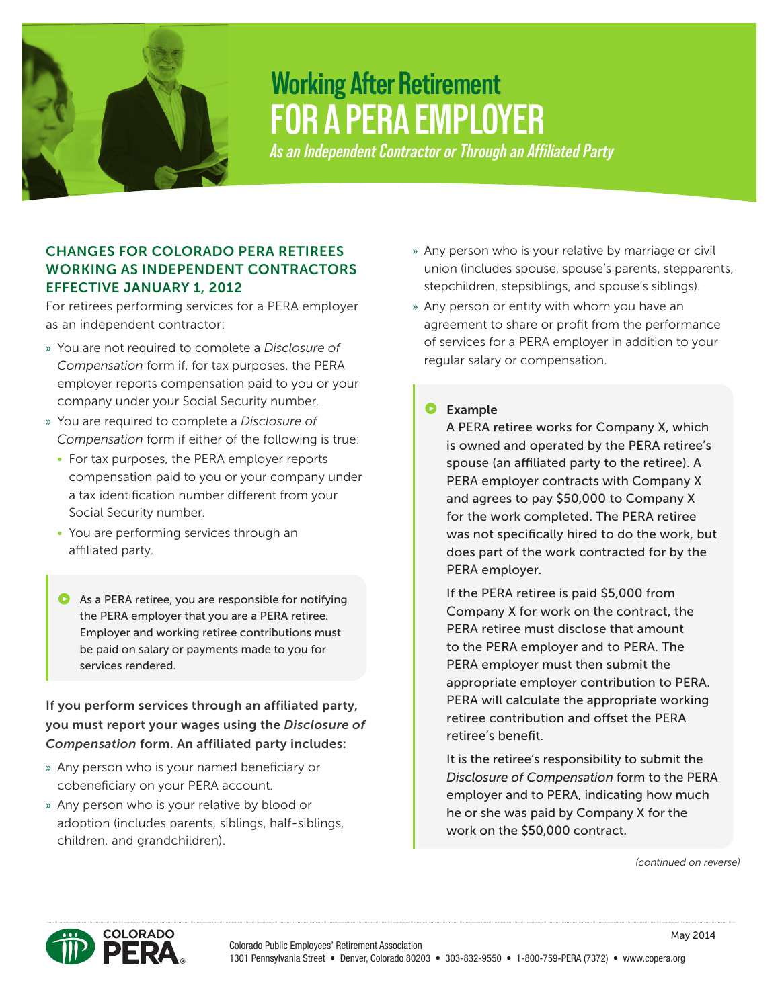

# **FOR A PERA EMPLOYER Working After Retirement**

*As an Independent Contractor or Through an Affiliated Party*

# CHANGES FOR COLORADO PERA RETIREES WORKING AS INDEPENDENT CONTRACTORS EFFECTIVE JANUARY 1, 2012

For retirees performing services for a PERA employer as an independent contractor:

- » You are not required to complete a *Disclosure of Compensation* form if, for tax purposes, the PERA employer reports compensation paid to you or your company under your Social Security number.
- » You are required to complete a *Disclosure of Compensation* form if either of the following is true:
	- For tax purposes, the PERA employer reports compensation paid to you or your company under a tax identification number different from your Social Security number.
	- You are performing services through an affiliated party.
	- As a PERA retiree, you are responsible for notifying the PERA employer that you are a PERA retiree. Employer and working retiree contributions must be paid on salary or payments made to you for services rendered.

# If you perform services through an affiliated party, you must report your wages using the *Disclosure of Compensation* form. An affiliated party includes:

- » Any person who is your named beneficiary or cobeneficiary on your PERA account.
- » Any person who is your relative by blood or adoption (includes parents, siblings, half-siblings, children, and grandchildren).
- » Any person who is your relative by marriage or civil union (includes spouse, spouse's parents, stepparents, stepchildren, stepsiblings, and spouse's siblings).
- » Any person or entity with whom you have an agreement to share or profit from the performance of services for a PERA employer in addition to your regular salary or compensation.

### **D** Example

A PERA retiree works for Company X, which is owned and operated by the PERA retiree's spouse (an affiliated party to the retiree). A PERA employer contracts with Company X and agrees to pay \$50,000 to Company X for the work completed. The PERA retiree was not specifically hired to do the work, but does part of the work contracted for by the PERA employer.

If the PERA retiree is paid \$5,000 from Company X for work on the contract, the PERA retiree must disclose that amount to the PERA employer and to PERA. The PERA employer must then submit the appropriate employer contribution to PERA. PERA will calculate the appropriate working retiree contribution and offset the PERA retiree's benefit.

It is the retiree's responsibility to submit the *Disclosure of Compensation* form to the PERA employer and to PERA, indicating how much he or she was paid by Company X for the work on the \$50,000 contract.

*(continued on reverse)*